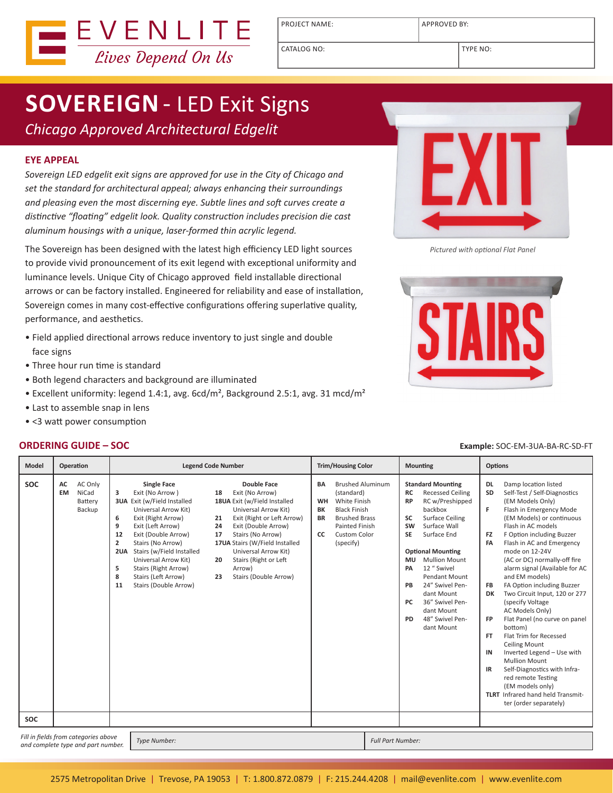

PROJECT NAME:  $\vert$  APPROVED BY:

CATALOG NO: TYPE NO:

# **SOVEREIGN**- LED Exit Signs

*Chicago Approved Architectural Edgelit*

#### **EYE APPEAL**

*Sovereign LED edgelit exit signs are approved for use in the City of Chicago and set the standard for architectural appeal; always enhancing their surroundings and pleasing even the most discerning eye. Subtle lines and soft curves create a distinctive "floating" edgelit look. Quality construction includes precision die cast aluminum housings with a unique, laser-formed thin acrylic legend.*

The Sovereign has been designed with the latest high efficiency LED light sources to provide vivid pronouncement of its exit legend with exceptional uniformity and luminance levels. Unique City of Chicago approved field installable directional arrows or can be factory installed. Engineered for reliability and ease of installation, Sovereign comes in many cost-effective configurations offering superlative quality, performance, and aesthetics.

- Field applied directional arrows reduce inventory to just single and double face signs
- Three hour run time is standard
- Both legend characters and background are illuminated
- Excellent uniformity: legend 1.4:1, avg. 6cd/m<sup>2</sup>, Background 2.5:1, avg. 31 mcd/m<sup>2</sup>
- Last to assemble snap in lens
- <3 watt power consumption

# EXII *Pictured with optional Flat Panel*



#### **ORDERING GUIDE – SOC Example:** SOC-EM-3UA-BA-RC-SD-FT

| <b>Model</b>                                                                                      | Operation                                                | <b>Legend Code Number</b>                                                                                                                                                                                                                                                                                                                                                                                                                                                                                                                                                                                                                                                                                                  | <b>Trim/Housing Color</b>                                                                                                                                                                                            | <b>Mounting</b>                                                                                                                                                                                                                                                                                                                                                                                                                                | <b>Options</b>                                                                                                                                                                                                                                                                                                                                                                                                                                                                                                                                                                                                                                                                                                                                                                                                                        |
|---------------------------------------------------------------------------------------------------|----------------------------------------------------------|----------------------------------------------------------------------------------------------------------------------------------------------------------------------------------------------------------------------------------------------------------------------------------------------------------------------------------------------------------------------------------------------------------------------------------------------------------------------------------------------------------------------------------------------------------------------------------------------------------------------------------------------------------------------------------------------------------------------------|----------------------------------------------------------------------------------------------------------------------------------------------------------------------------------------------------------------------|------------------------------------------------------------------------------------------------------------------------------------------------------------------------------------------------------------------------------------------------------------------------------------------------------------------------------------------------------------------------------------------------------------------------------------------------|---------------------------------------------------------------------------------------------------------------------------------------------------------------------------------------------------------------------------------------------------------------------------------------------------------------------------------------------------------------------------------------------------------------------------------------------------------------------------------------------------------------------------------------------------------------------------------------------------------------------------------------------------------------------------------------------------------------------------------------------------------------------------------------------------------------------------------------|
| <b>SOC</b>                                                                                        | AC Only<br>AC<br>NiCad<br><b>EM</b><br>Battery<br>Backup | <b>Single Face</b><br><b>Double Face</b><br>Exit (No Arrow)<br>Exit (No Arrow)<br>3<br>18<br><b>3UA</b> Exit (w/Field Installed<br>18UA Exit (w/Field Installed<br>Universal Arrow Kit)<br>Universal Arrow Kit)<br>Exit (Right Arrow)<br>Exit (Right or Left Arrow)<br>6<br>21<br>9<br>Exit (Left Arrow)<br>Exit (Double Arrow)<br>24<br>17<br>12<br>Exit (Double Arrow)<br>Stairs (No Arrow)<br>$\overline{2}$<br>17UA Stairs (W/Field Installed<br>Stairs (No Arrow)<br>Stairs (w/Field Installed<br>Universal Arrow Kit)<br>2UA<br>Stairs (Right or Left<br>Universal Arrow Kit)<br>20<br>5<br>Stairs (Right Arrow)<br>Arrow)<br>Stairs (Left Arrow)<br>8<br>Stairs (Double Arrow)<br>23<br>Stairs (Double Arrow)<br>11 | <b>Brushed Aluminum</b><br><b>BA</b><br>(standard)<br><b>White Finish</b><br><b>WH</b><br><b>Black Finish</b><br>BK<br><b>Brushed Brass</b><br><b>BR</b><br><b>Painted Finish</b><br>Custom Color<br>cc<br>(specify) | <b>Standard Mounting</b><br><b>RC</b><br><b>Recessed Ceiling</b><br>RC w/Preshipped<br><b>RP</b><br>backbox<br><b>Surface Ceiling</b><br>SC<br>Surface Wall<br><b>SW</b><br>Surface End<br><b>SE</b><br><b>Optional Mounting</b><br><b>Mullion Mount</b><br><b>MU</b><br>12 " Swivel<br>PA<br>Pendant Mount<br>24" Swivel Pen-<br>PB<br>dant Mount<br>36" Swivel Pen-<br><b>PC</b><br>dant Mount<br>48" Swivel Pen-<br><b>PD</b><br>dant Mount | <b>DL</b><br>Damp location listed<br><b>SD</b><br>Self-Test / Self-Diagnostics<br>(EM Models Only)<br>F<br>Flash in Emergency Mode<br>(EM Models) or continuous<br>Flash in AC models<br>F Option including Buzzer<br><b>FZ</b><br>FA<br>Flash in AC and Emergency<br>mode on 12-24V<br>(AC or DC) normally-off fire<br>alarm signal (Available for AC<br>and EM models)<br>FA Option including Buzzer<br>FB<br>Two Circuit Input, 120 or 277<br>DK<br>(specify Voltage)<br>AC Models Only)<br>Flat Panel (no curve on panel<br><b>FP</b><br>bottom)<br>Flat Trim for Recessed<br><b>FT</b><br><b>Ceiling Mount</b><br>IN<br>Inverted Legend - Use with<br><b>Mullion Mount</b><br>IR<br>Self-Diagnostics with Infra-<br>red remote Testing<br>(EM models only)<br><b>TLRT</b> Infrared hand held Transmit-<br>ter (order separately) |
| <b>SOC</b>                                                                                        |                                                          |                                                                                                                                                                                                                                                                                                                                                                                                                                                                                                                                                                                                                                                                                                                            |                                                                                                                                                                                                                      |                                                                                                                                                                                                                                                                                                                                                                                                                                                |                                                                                                                                                                                                                                                                                                                                                                                                                                                                                                                                                                                                                                                                                                                                                                                                                                       |
| Fill in fields from categories above<br><b>Type Number:</b><br>and complete type and part number. |                                                          |                                                                                                                                                                                                                                                                                                                                                                                                                                                                                                                                                                                                                                                                                                                            | <b>Full Part Number:</b>                                                                                                                                                                                             |                                                                                                                                                                                                                                                                                                                                                                                                                                                |                                                                                                                                                                                                                                                                                                                                                                                                                                                                                                                                                                                                                                                                                                                                                                                                                                       |